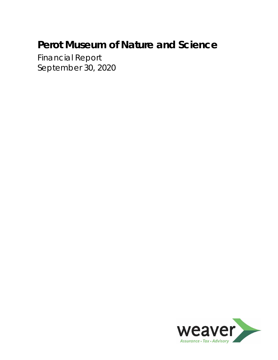Financial Report September 30, 2020

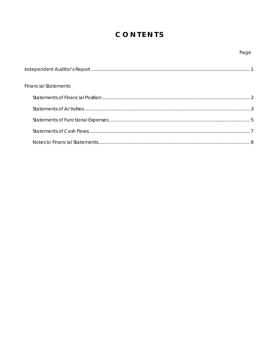## CONTENTS

## Page

| <b>Financial Statements</b> |  |
|-----------------------------|--|
|                             |  |
|                             |  |
|                             |  |
|                             |  |
|                             |  |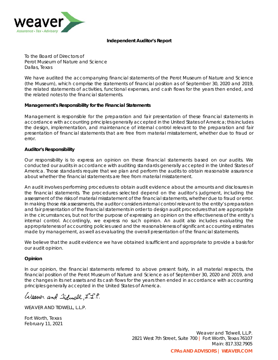

#### **Independent Auditor's Report**

To the Board of Directors of Perot Museum of Nature and Science Dallas, Texas

We have audited the accompanying financial statements of the Perot Museum of Nature and Science (the Museum), which comprise the statements of financial position as of September 30, 2020 and 2019, the related statements of activities, functional expenses, and cash flows for the years then ended, and the related notes to the financial statements.

### **Management's Responsibility for the Financial Statements**

Management is responsible for the preparation and fair presentation of these financial statements in accordance with accounting principles generally accepted in the United States of America; this includes the design, implementation, and maintenance of internal control relevant to the preparation and fair presentation of financial statements that are free from material misstatement, whether due to fraud or error.

#### **Auditor's Responsibility**

Our responsibility is to express an opinion on these financial statements based on our audits. We conducted our audits in accordance with auditing standards generally accepted in the United States of America. Those standards require that we plan and perform the audits to obtain reasonable assurance about whether the financial statements are free from material misstatement.

An audit involves performing procedures to obtain audit evidence about the amounts and disclosures in the financial statements. The procedures selected depend on the auditor's judgment, including the assessment of the risks of material misstatement of the financial statements, whether due to fraud or error. In making those risk assessments, the auditor considers internal control relevant to the entity's preparation and fair presentation of the financial statements in order to design audit procedures that are appropriate in the circumstances, but not for the purpose of expressing an opinion on the effectiveness of the entity's internal control. Accordingly, we express no such opinion. An audit also includes evaluating the appropriateness of accounting policies used and the reasonableness of significant accounting estimates made by management, as well as evaluating the overall presentation of the financial statements.

We believe that the audit evidence we have obtained is sufficient and appropriate to provide a basis for our audit opinion.

### **Opinion**

In our opinion, the financial statements referred to above present fairly, in all material respects, the financial position of the Perot Museum of Nature and Science as of September 30, 2020 and 2019, and the changes in its net assets and its cash flows for the years then ended in accordance with accounting principles generally accepted in the United States of America.

Weaver and Iiduell, L.S.P.

WEAVER AND TIDWELL, L.L.P.

Fort Worth, Texas February 11, 2021

> Weaver and Tidwell, L.L.P. 2821 West 7th Street, Suite 700 *|* Fort Worth, Texas 76107 Main: 817.332.7905 **CPAs AND ADVISORS | WEAVER.COM**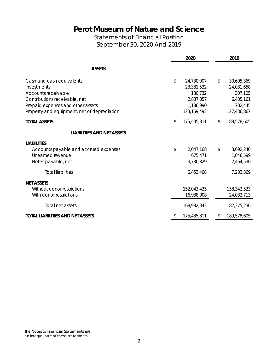## Statements of Financial Position September 30, 2020 And 2019

|                                                                                                                                                                                      | 2020                                                                                 | 2019 |                                                                            |  |
|--------------------------------------------------------------------------------------------------------------------------------------------------------------------------------------|--------------------------------------------------------------------------------------|------|----------------------------------------------------------------------------|--|
| <b>ASSETS</b>                                                                                                                                                                        |                                                                                      |      |                                                                            |  |
| Cash and cash equivalents<br>Investments<br>Accounts receivable<br>Contributions receivable, net<br>Prepaid expenses and other assets<br>Property and equipment, net of depreciation | \$<br>24,730,007<br>23,381,532<br>130,732<br>2,837,057<br>1,186,990<br>123, 169, 493 | \$   | 30,695,369<br>24,031,658<br>307,105<br>6,405,161<br>702,445<br>127,436,867 |  |
| <b>TOTAL ASSETS</b>                                                                                                                                                                  | 175,435,811                                                                          |      | 189,578,605                                                                |  |
| <b>LIABILITIES AND NET ASSETS</b>                                                                                                                                                    |                                                                                      |      |                                                                            |  |
| <b>LIABILITIES</b><br>Accounts payable and accrued expenses<br>Unearned revenue<br>Notes payable, net                                                                                | \$<br>2,047,168<br>675,471<br>3,730,829                                              | \$   | 3,692,240<br>1,046,599<br>2,464,530                                        |  |
| <b>Total liabilities</b>                                                                                                                                                             | 6,453,468                                                                            |      | 7,203,369                                                                  |  |
| <b>NET ASSETS</b><br>Without donor restrictions<br>With donor restrictions                                                                                                           | 152,043,435<br>16,938,908                                                            |      | 158,342,523<br>24,032,713                                                  |  |
| Total net assets                                                                                                                                                                     | 168,982,343                                                                          |      | 182,375,236                                                                |  |
| <b>TOTAL LIABILITIES AND NET ASSETS</b>                                                                                                                                              | 175,435,811                                                                          | \$   | 189,578,605                                                                |  |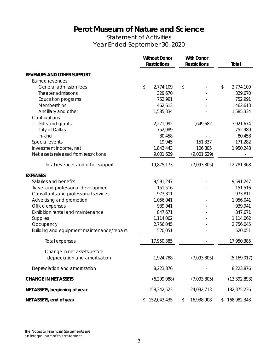Statement of Activities Year Ended September 30, 2020

|                                            | <b>Without Donor</b><br><b>Restrictions</b> | <b>With Donor</b><br><b>Restrictions</b> |             | Total             |
|--------------------------------------------|---------------------------------------------|------------------------------------------|-------------|-------------------|
| <b>REVENUES AND OTHER SUPPORT</b>          |                                             |                                          |             |                   |
| Earned revenues                            |                                             |                                          |             |                   |
| General admission fees                     | \$<br>2,774,109                             | \$                                       |             | \$<br>2,774,109   |
| Theater admissions                         | 329,670                                     |                                          |             | 329,670           |
| <b>Education programs</b>                  | 752,991                                     |                                          |             | 752,991           |
| Memberships                                | 462,613                                     |                                          |             | 462,613           |
| Ancillary and other                        | 1,585,334                                   |                                          |             | 1,585,334         |
| Contributions                              |                                             |                                          |             |                   |
| Gifts and grants                           | 2,271,992                                   |                                          | 1,649,682   | 3,921,674         |
| City of Dallas                             | 752,989                                     |                                          |             | 752,989           |
| In-kind                                    | 80,458                                      |                                          |             | 80,458            |
| Special events                             | 19,945                                      |                                          | 151,337     | 171,282           |
| Investment income, net                     | 1,843,443                                   |                                          | 106,805     | 1,950,248         |
| Net assets released from restrictions      | 9,001,629                                   |                                          | (9,001,629) |                   |
| Total revenues and other support           | 19,875,173                                  |                                          | (7,093,805) | 12,781,368        |
| <b>EXPENSES</b>                            |                                             |                                          |             |                   |
| Salaries and benefits                      | 9,591,247                                   |                                          |             | 9,591,247         |
| Travel and professional development        | 151,516                                     |                                          |             | 151,516           |
| Consultants and professional services      | 973,811                                     |                                          |             | 973,811           |
| Advertising and promotion                  | 1,056,041                                   |                                          |             | 1,056,041         |
| Office expenses                            | 939,941                                     |                                          |             | 939,941           |
| Exhibition rental and maintenance          | 847,671                                     |                                          |             | 847,671           |
| Supplies                                   | 1,114,062                                   |                                          |             | 1,114,062         |
| Occupancy                                  | 2,756,045                                   |                                          |             | 2,756,045         |
| Building and equipment maintenance/repairs | 520,051                                     |                                          |             | 520,051           |
| Total expenses                             | 17,950,385                                  |                                          |             | 17,950,385        |
| Change in net assets before                |                                             |                                          |             |                   |
| depreciation and amortization              | 1,924,788                                   |                                          | (7,093,805) | (5, 169, 017)     |
| Depreciation and amortization              | 8,223,876                                   |                                          |             | 8,223,876         |
| <b>CHANGE IN NET ASSETS</b>                | (6, 299, 088)                               |                                          | (7,093,805) | (13, 392, 893)    |
| NET ASSETS, beginning of year              | 158,342,523                                 |                                          | 24,032,713  | 182,375,236       |
| NET ASSETS, end of year                    | \$<br>152,043,435                           | \$                                       | 16,938,908  | \$<br>168,982,343 |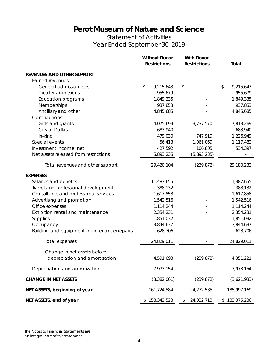Statement of Activities Year Ended September 30, 2019

|                                            | <b>Without Donor</b><br><b>With Donor</b><br><b>Restrictions</b><br><b>Restrictions</b> |               |    | Total       |                 |
|--------------------------------------------|-----------------------------------------------------------------------------------------|---------------|----|-------------|-----------------|
| REVENUES AND OTHER SUPPORT                 |                                                                                         |               |    |             |                 |
| Earned revenues                            |                                                                                         |               |    |             |                 |
| General admission fees                     | \$                                                                                      | 9,215,643     | \$ |             | \$<br>9,215,643 |
| Theater admissions                         |                                                                                         | 955,679       |    |             | 955,679         |
| <b>Education programs</b>                  |                                                                                         | 1,849,335     |    |             | 1,849,335       |
| Memberships                                |                                                                                         | 937,853       |    |             | 937,853         |
| Ancillary and other                        |                                                                                         | 4,845,685     |    |             | 4,845,685       |
| Contributions                              |                                                                                         |               |    |             |                 |
| Gifts and grants                           |                                                                                         | 4,075,699     |    | 3,737,570   | 7,813,269       |
| City of Dallas                             |                                                                                         | 683,940       |    |             | 683,940         |
| In-kind                                    |                                                                                         | 479,030       |    | 747,919     | 1,226,949       |
| Special events                             |                                                                                         | 56,413        |    | 1,061,069   | 1,117,482       |
| Investment income, net                     |                                                                                         | 427,592       |    | 106,805     | 534,397         |
| Net assets released from restrictions      |                                                                                         | 5,893,235     |    | (5,893,235) |                 |
| Total revenues and other support           |                                                                                         | 29,420,104    |    | (239, 872)  | 29,180,232      |
| <b>EXPENSES</b>                            |                                                                                         |               |    |             |                 |
| Salaries and benefits                      |                                                                                         | 11,487,655    |    |             | 11,487,655      |
| Travel and professional development        |                                                                                         | 388,132       |    |             | 388,132         |
| Consultants and professional services      |                                                                                         | 1,617,858     |    |             | 1,617,858       |
| Advertising and promotion                  |                                                                                         | 1,542,516     |    |             | 1,542,516       |
| Office expenses                            |                                                                                         | 1,114,244     |    |             | 1,114,244       |
| Exhibition rental and maintenance          |                                                                                         | 2,354,231     |    |             | 2,354,231       |
| Supplies                                   |                                                                                         | 1,851,032     |    |             | 1,851,032       |
| Occupancy                                  |                                                                                         | 3,844,637     |    |             | 3,844,637       |
| Building and equipment maintenance/repairs |                                                                                         | 628,706       |    |             | 628,706         |
| Total expenses                             |                                                                                         | 24,829,011    |    |             | 24,829,011      |
| Change in net assets before                |                                                                                         |               |    |             |                 |
| depreciation and amortization              |                                                                                         | 4,591,093     |    | (239, 872)  | 4,351,221       |
| Depreciation and amortization              |                                                                                         | 7,973,154     |    |             | 7,973,154       |
| <b>CHANGE IN NET ASSETS</b>                |                                                                                         | (3,382,061)   |    | (239, 872)  | (3,621,933)     |
| NET ASSETS, beginning of year              |                                                                                         | 161,724,584   |    | 24,272,585  | 185, 997, 169   |
| NET ASSETS, end of year                    |                                                                                         | \$158,342,523 | \$ | 24,032,713  | \$182,375,236   |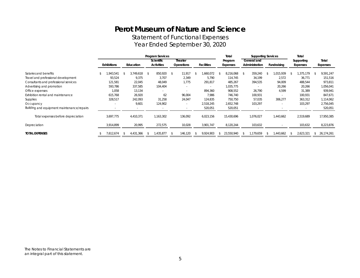Statement of Functional Expenses Year Ended September 30, 2020

|                                            | <b>Program Services</b> |           |                         |                          |                   | Total      | <b>Supporting Services</b> | Total       |            |            |
|--------------------------------------------|-------------------------|-----------|-------------------------|--------------------------|-------------------|------------|----------------------------|-------------|------------|------------|
|                                            |                         |           | <b>Scientific</b>       | Theater                  |                   | Program    | General and                |             | Supporting | Total      |
|                                            | <b>Exhibitions</b>      | Education | <b>Activities</b>       | <b>Operations</b>        | <b>Facilities</b> | Expenses   | Administration             | Fundraising | Expenses   | Expenses   |
| Salaries and benefits                      | .943.541                | 3.749.618 | 850,920<br>$\mathbf{s}$ | 11.917<br>-S             | ,660,072<br>- 4   | 8,216,068  | 359,240<br>- \$            | 015,939     | ,375,179   | 9,591,247  |
| Travel and professional development        | 93,524                  | 9,375     | 3,707                   | 2,349                    | 5,790             | 114,745    | 34,199                     | 2,572       | 36,771     | 151,516    |
| Consultants and professional services      | 121,581                 | 22,045    | 48,049                  | 1.775                    | 291,817           | 485,267    | 394,535                    | 94,009      | 488,544    | 973,811    |
| Advertising and promotion                  | 593,786                 | 337,585   | 104,404                 |                          |                   | 1,035,775  |                            | 20,266      | 20,266     | 1,056,041  |
| Office expenses                            | 1,058                   | 13,134    |                         |                          | 894,360           | 908,552    | 26,790                     | 4,599       | 31,389     | 939,941    |
| Exhibition rental and maintenance          | 615,768                 | 26,920    | 62                      | 96,004                   | 7,986             | 746,740    | 100,931                    |             | 100,931    | 847,671    |
| Supplies                                   | 328,517                 | 242,093   | 31,258                  | 24,047                   | 124,835           | 750,750    | 57,035                     | 306,277     | 363,312    | 1,114,062  |
| Occupancy                                  |                         | 9,601     | 124,902                 |                          | 2,518,245         | 2,652,748  | 103,297                    |             | 103,297    | 2,756,045  |
| Building and equipment maintenance/repairs |                         |           |                         |                          | 520,051           | 520,051    |                            |             |            | 520,051    |
| Total expenses before depreciation         | 3,697,775               | 4,410,371 | 1,163,302               | 136,092                  | 6,023,156         | 15,430,696 | 1,076,027                  | 1,443,662   | 2,519,689  | 17,950,385 |
| Depreciation                               | 3,914,899               | 20,995    | 272,575                 | 10,028                   | 3,901,747         | 8,120,244  | 103,632                    |             | 103,632    | 8,223,876  |
| <b>TOTAL EXPENSES</b>                      | 7,612,674               | 4,431,366 | ,435,877<br>- 85        | 146,120<br>$\mathcal{S}$ | 9,924,903<br>- 75 | 23,550,940 | ,179,659                   | ,443,662    | 2,623,321  | 26,174,261 |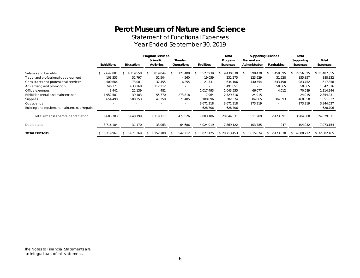Statement of Functional Expenses Year Ended September 30, 2019

|                                            | <b>Program Services</b> |                            |                                 |                              | Total             | <b>Supporting Services</b> | Total                         |             |                        |                   |
|--------------------------------------------|-------------------------|----------------------------|---------------------------------|------------------------------|-------------------|----------------------------|-------------------------------|-------------|------------------------|-------------------|
|                                            | <b>Exhibitions</b>      | Education                  | Scientific<br><b>Activities</b> | Theater<br><b>Operations</b> | <b>Facilities</b> | Program<br>Expenses        | General and<br>Administration | Fundraising | Supporting<br>Expenses | Total<br>Expenses |
| Salaries and benefits                      | 2,642,881<br>\$         | 4,319,558<br>$\mathcal{L}$ | 819,044<br>-S                   | 121,408                      | ,527,939          | 9,430,830                  | 598,430<br>- \$               | ,458,395    | 2,056,825              | \$11,487,655      |
| Travel and professional development        | 103,355                 | 52,797                     | 52,504                          | 4,560                        | 19,059            | 232,275                    | 123,929                       | 31,928      | 155,857                | 388,132           |
| Consultants and professional services      | 500,664                 | 73,001                     | 32,455                          | 6,255                        | 21,731            | 634,106                    | 440,554                       | 543,198     | 983,752                | 1,617,858         |
| Advertising and promotion                  | 746,371                 | 633,268                    | 112,212                         |                              |                   | 1,491,851                  |                               | 50,665      | 50,665                 | 1,542,516         |
| Office expenses                            | 3,441                   | 22,139                     | 482                             |                              | 1,017,493         | 1,043,555                  | 66,077                        | 4,612       | 70,689                 | 1,114,244         |
| Exhibition rental and maintenance          | 1,952,581               | 39,183                     | 55,770                          | 273,818                      | 7,964             | 2,329,316                  | 24,915                        |             | 24,915                 | 2,354,231         |
| Supplies                                   | 654,490                 | 500,253                    | 47,250                          | 71,485                       | 108,896           | 1,382,374                  | 84,065                        | 384,593     | 468,658                | 1,851,032         |
| Occupancy                                  |                         |                            |                                 | $\sim$                       | 3,671,318         | 3,671,318                  | 173,319                       |             | 173,319                | 3,844,637         |
| Building and equipment maintenance/repairs |                         |                            |                                 |                              | 628,706           | 628,706                    |                               |             |                        | 628,706           |
| Total expenses before depreciation         | 6,603,783               | 5,640,199                  | 1,119,717                       | 477,526                      | 7,003,106         | 20,844,331                 | 1,511,289                     | 2,473,391   | 3,984,680              | 24,829,011        |
| Depreciation                               | 3,716,184               | 31,170                     | 33,063                          | 64,686                       | 4,024,019         | 7,869,122                  | 103,785                       | 247         | 104,032                | 7,973,154         |
| <b>TOTAL EXPENSES</b>                      | \$10.319.967            | 5,671,369<br><sup>\$</sup> | 1,152,780<br>\$                 | 542,212                      | \$11,027,125      | \$28,713,453               | 1,615,074<br><sup>\$</sup>    | 2,473,638   | 4,088,712<br>\$        | \$32,802,165      |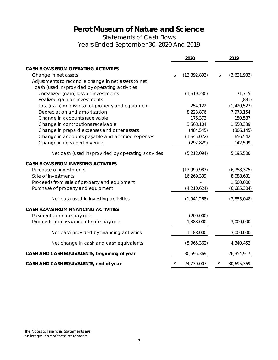Statements of Cash Flows Years Ended September 30, 2020 And 2019

|                                                      | 2020 |                |    | 2019          |
|------------------------------------------------------|------|----------------|----|---------------|
| <b>CASH FLOWS FROM OPERATING ACTIVITIES</b>          |      |                |    |               |
| Change in net assets                                 | \$   | (13, 392, 893) | \$ | (3,621,933)   |
| Adjustments to reconcile change in net assets to net |      |                |    |               |
| cash (used in) provided by operating activities      |      |                |    |               |
| Unrealized (gain) loss on investments                |      | (1,619,230)    |    | 71,715        |
| Realized gain on investments                         |      |                |    | (831)         |
| Loss (gain) on disposal of property and equipment    |      | 254,122        |    | (1, 420, 527) |
| Depreciation and amortization                        |      | 8,223,876      |    | 7,973,154     |
| Change in accounts receivable                        |      | 176,373        |    | 150,587       |
| Change in contributions receivable                   |      | 3,568,104      |    | 1,550,339     |
| Change in prepaid expenses and other assets          |      | (484, 545)     |    | (306, 145)    |
| Change in accounts payable and accrued expenses      |      | (1,645,072)    |    | 656,542       |
| Change in unearned revenue                           |      | (292, 829)     |    | 142,599       |
| Net cash (used in) provided by operating activities  |      | (5, 212, 094)  |    | 5,195,500     |
| <b>CASH FLOWS FROM INVESTING ACTIVITIES</b>          |      |                |    |               |
| Purchase of investments                              |      | (13,999,983)   |    | (6, 758, 375) |
| Sale of investments                                  |      | 16,269,339     |    | 8,088,631     |
| Proceeds from sale of property and equipment         |      |                |    | 1,500,000     |
| Purchase of property and equipment                   |      | (4, 210, 624)  |    | (6,685,304)   |
| Net cash used in investing activities                |      | (1,941,268)    |    | (3,855,048)   |
| <b>CASH FLOWS FROM FINANCING ACTIVITIES</b>          |      |                |    |               |
| Payments on note payable                             |      | (200,000)      |    |               |
| Proceeds from issuance of note payable               |      | 1,388,000      |    | 3,000,000     |
| Net cash provided by financing activities            |      | 1,188,000      |    | 3,000,000     |
| Net change in cash and cash equivalents              |      | (5,965,362)    |    | 4,340,452     |
| CASH AND CASH EQUIVALENTS, beginning of year         |      | 30,695,369     |    | 26,354,917    |
| CASH AND CASH EQUIVALENTS, end of year               | \$   | 24,730,007     | \$ | 30,695,369    |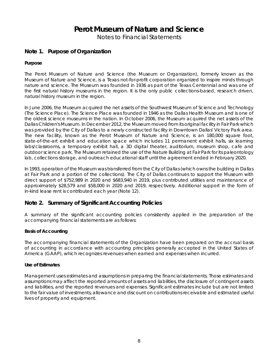Notes to Financial Statements

## **Note 1. Purpose of Organization**

### **Purpose**

The Perot Museum of Nature and Science (the Museum or Organization), formerly known as the Museum of Nature and Science, is a Texas not-for-profit corporation organized to inspire minds through nature and science. The Museum was founded in 1936 as part of the Texas Centennial and was one of the first natural history museums in the region. It is the only public collections-based, research driven, natural history museum in the region.

In June 2006, the Museum acquired the net assets of the Southwest Museum of Science and Technology (The Science Place). The Science Place was founded in 1946 as the Dallas Health Museum and is one of the oldest science museums in the nation. In October 2006, the Museum acquired the net assets of the Dallas Children's Museum. In December 2012, the Museum moved from its original facility in Fair Park which was provided by the City of Dallas to a newly constructed facility in Downtown Dallas' Victory Park area. The new facility, known as the Perot Museum of Nature and Science, is an 180,000 square foot, state-of-the-art exhibit and education space which includes 11 permanent exhibit halls, six learning labs/classrooms, a temporary exhibit hall, a 3D digital theater, auditorium, museum shop, cafe and outdoor science park. The Museum retained the use of the Nature Building at Fair Park for its paleontology lab, collections storage, and outreach educational staff until the agreement ended in February 2020.

In 1993, operation of the Museum was transferred from the City of Dallas (which owns the building in Dallas at Fair Park and a portion of the collections). The City of Dallas continues to support the Museum with direct support of \$752,989 in 2020 and \$683,940 in 2019, plus contributed utilities and maintenance of approximately \$28,579 and \$58,000 in 2020 and 2019, respectively. Additional support in the form of in-kind lease rent is contributed each year (Note 12).

### **Note 2. Summary of Significant Accounting Policies**

A summary of the significant accounting policies consistently applied in the preparation of the accompanying financial statements are as follows:

### **Basis of Accounting**

The accompanying financial statements of the Organization have been prepared on the accrual basis of accounting in accordance with accounting principles generally accepted in the United States of America (GAAP), which recognizes revenues when earned and expenses when incurred.

### **Use of Estimates**

Management uses estimates and assumptions in preparing the financial statements. Those estimates and assumptions may affect the reported amounts of assets and liabilities, the disclosure of contingent assets and liabilities, and the reported revenues and expenses. Significant estimates include but are not limited to the fair value of investments, allowance and discount on contributions receivable and estimated useful lives of property and equipment.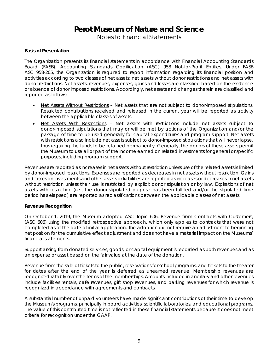Notes to Financial Statements

### **Basis of Presentation**

The Organization presents its financial statements in accordance with Financial Accounting Standards Board (FASB), Accounting Standards Codification (ASC) 958 Not-for-Profit Entities. Under FASB ASC 958-205, the Organization is required to report information regarding its financial position and activities according to two classes of net assets: net assets without donor restrictions and net assets with donor restrictions. Net assets, revenues, expenses, gains and losses are classified based on the existence or absence of donor imposed restrictions. Accordingly, net assets and changes therein are classified and reported as follows:

- *Net Assets Without Restrictions* Net assets that are not subject to donor-imposed stipulations. Restricted contributions received and released in the current year will be reported as activity between the applicable classes of assets.
- *Net Assets With Restrictions* Net assets with restrictions include net assets subject to donor-imposed stipulations that may or will be met by actions of the Organization and/or the passage of time to be used generally for capital expenditures and program support. Net assets with restrictions also include net assets subject to donor-imposed stipulations that will never lapse, thus requiring the funds to be retained permanently. Generally, the donors of these assets permit the Museum to use all or part of the income earned on related investments for general or specific purposes, including program support.

Revenues are reported as increases in net assets without restriction unless use of the related assets is limited by donor-imposed restrictions. Expenses are reported as decreases in net assets without restriction. Gains and losses on investments and other assets or liabilities are reported as increases or decreases in net assets without restriction unless their use is restricted by explicit donor stipulation or by law. Expirations of net assets with restriction (i.e., the donor-stipulated purpose has been fulfilled and/or the stipulated time period has elapsed) are reported as reclassifications between the applicable classes of net assets.

### **Revenue Recognition**

On October 1, 2019, the Museum adopted ASC Topic 606, *Revenue from Contracts with Customers*, (ASC 606) using the modified retrospective approach, which only applies to contracts that were not completed as of the date of initial application. The adoption did not require an adjustment to beginning net position for the cumulative effect adjustment and does not have a material impact on the Museums' financial statements.

Support arising from donated services, goods, or capital equipment is recorded as both revenues and as an expense or asset based on the fair value at the date of the donation.

Revenue from the sale of tickets to the public, reservations for school programs, and tickets to the theater for dates after the end of the year is deferred as unearned revenue. Membership revenues are recognized ratably over the terms of the memberships. Amounts included in ancillary and other revenues include facilities rentals, café revenues, gift shop revenues, and parking revenues for which revenue is recognized in accordance with agreements and contracts.

A substantial number of unpaid volunteers have made significant contributions of their time to develop the Museum's programs, principally in board activities, scientific laboratories, and educational programs. The value of this contributed time is not reflected in these financial statements because it does not meet criteria for recognition under the GAAP.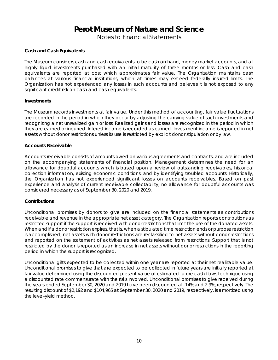Notes to Financial Statements

### **Cash and Cash Equivalents**

The Museum considers cash and cash equivalents to be cash on hand, money market accounts, and all highly liquid investments purchased with an initial maturity of three months or less. Cash and cash equivalents are reported at cost which approximates fair value. The Organization maintains cash balances at various financial institutions, which at times may exceed federally insured limits. The Organization has not experienced any losses in such accounts and believes it is not exposed to any significant credit risk on cash and cash equivalents.

#### **Investments**

The Museum records investments at fair value. Under this method of accounting, fair value fluctuations are recorded in the period in which they occur by adjusting the carrying value of such investments and recognizing a net unrealized gain or loss. Realized gains and losses are recognized in the period in which they are earned or incurred. Interest income is recorded as earned. Investment income is reported in net assets without donor restrictions unless its use is restricted by explicit donor stipulation or by law.

#### **Accounts Receivable**

Accounts receivable consists of amounts owed on various agreements and contracts, and are included on the accompanying statements of financial position. Management determines the need for an allowance for doubtful accounts which is based upon a review of outstanding receivables, historical collection information, existing economic conditions, and by identifying troubled accounts. Historically, the Organization has not experienced significant losses on accounts receivables. Based on past experience and analysis of current receivable collectability, no allowance for doubtful accounts was considered necessary as of September 30, 2020 and 2019.

### **Contributions**

Unconditional promises by donors to give are included on the financial statements as contributions receivable and revenue in the appropriate net asset category. The Organization reports contributions as restricted support if the support is received with donor restrictions that limit the use of the donated assets. When and if a donor restriction expires, that is, when a stipulated time restriction ends or purpose restriction is accomplished, net assets with donor restrictions are reclassified to net assets without donor restrictions and reported on the statement of activities as net assets released from restrictions. Support that is not restricted by the donor is reported as an increase in net assets without donor restrictions in the reporting period in which the support is recognized.

Unconditional gifts expected to be collected within one year are reported at their net realizable value. Unconditional promises to give that are expected to be collected in future years are initially reported at fair value determined using the discounted present value of estimated future cash flows technique using a discounted rate commensurate with the risks involved. Unconditional promises to give received during the years ended September 30, 2020 and 2019 have been discounted at .14% and 2.9%, respectively. The resulting discount of \$2,192 and \$104,965 at September 30, 2020 and 2019, respectively, is amortized using the level-yield method.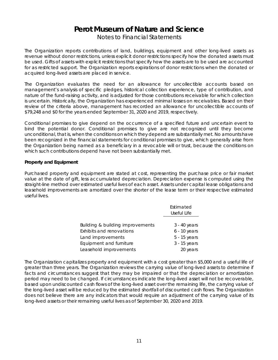Notes to Financial Statements

The Organization reports contributions of land, buildings, equipment and other long-lived assets as revenue without donor restrictions, unless explicit donor restrictions specify how the donated assets must be used. Gifts of assets with explicit restrictions that specify how the assets are to be used are accounted for as restricted support. The Organization reports expirations of donor restrictions when the donated or acquired long-lived assets are placed in service.

The Organization evaluates the need for an allowance for uncollectible accounts based on management's analysis of specific pledges, historical collection experience, type of contribution, and nature of the fund-raising activity, and is adjusted for those contributions receivable for which collection is uncertain. Historically, the Organization has experienced minimal losses on receivables. Based on their review of the criteria above, management has recorded an allowance for uncollectible accounts of \$79,248 and \$0 for the years ended September 31, 2020 and 2019, respectively.

Conditional promises to give depend on the occurrence of a specified future and uncertain event to bind the potential donor. Conditional promises to give are not recognized until they become unconditional, that is, when the conditions on which they depend are substantially met. No amounts have been recognized in the financial statements for conditional promises to give, which generally arise from the Organization being named as a beneficiary in a revocable will or trust, because the conditions on which such contributions depend have not been substantially met.

### **Property and Equipment**

Purchased property and equipment are stated at cost, representing the purchase price or fair market value at the date of gift, less accumulated depreciation. Depreciation expense is computed using the straight-line method over estimated useful lives of each asset. Assets under capital lease obligations and leasehold improvements are amortized over the shorter of the lease term or their respective estimated useful lives.

|                                  | Estimated<br>Useful Life |
|----------------------------------|--------------------------|
| Building & building improvements | $3 - 40$ years           |
|                                  |                          |
| Exhibits and renovations         | $6 - 10$ years           |
| Land improvements                | 5 - 15 years             |
| Equipment and furniture          | $3 - 15$ years           |
| Leasehold improvements           | 20 years                 |

The Organization capitalizes property and equipment with a cost greater than \$5,000 and a useful life of greater than three years. The Organization reviews the carrying value of long-lived assets to determine if facts and circumstances suggest that they may be impaired or that the depreciation or amortization period may need to be changed. If circumstances indicate the long-lived asset will not be recoverable, based upon undiscounted cash flows of the long-lived asset over the remaining life, the carrying value of the long-lived asset will be reduced by the estimated shortfall of discounted cash flows. The Organization does not believe there are any indicators that would require an adjustment of the carrying value of its long-lived assets or their remaining useful lives as of September 30, 2020 and 2019.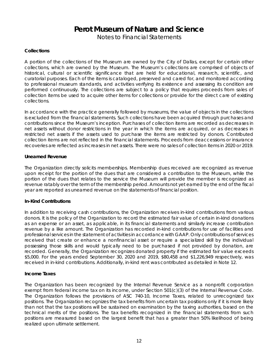Notes to Financial Statements

### **Collections**

A portion of the collections of the Museum are owned by the City of Dallas, except for certain other collections, which are owned by the Museum. The Museum's collections are comprised of objects of historical, cultural or scientific significance that are held for educational, research, scientific, and curatorial purposes. Each of the items is cataloged, preserved and cared for, and monitored according to professional museum standards, and activities verifying its existence and assessing its condition are performed continuously. The collections are subject to a policy that requires proceeds from sales of collection items be used to acquire other items for collections or provide for the direct care of existing collections.

In accordance with the practice generally followed by museums, the value of objects in the collections is excluded from the financial statements. Such collections have been acquired through purchases and contributions since the Museum's inception. Purchases of collection items are recorded as decreases in net assets without donor restrictions in the year in which the items are acquired, or as decreases in restricted net assets if the assets used to purchase the items are restricted by donors. Contributed collection items are not reflected in the financial statements. Proceeds from deaccessions or insurance recoveries are reflected as increases in net assets. There were no sales of collection items in 2020 or 2019.

#### **Unearned Revenue**

The Organization directly solicits memberships. Membership dues received are recognized as revenue upon receipt for the portion of the dues that are considered a contribution to the Museum, while the portion of the dues that relates to the service the Museum will provide the member is recognized as revenue ratably over the term of the membership period. Amounts not yet earned by the end of the fiscal year are reported as unearned revenue on the statements of financial position.

### **In-Kind Contributions**

In addition to receiving cash contributions, the Organization receives in-kind contributions from various donors. It is the policy of the Organization to record the estimated fair value of certain in-kind donations as an expense or an asset, as applicable, in its financial statements and similarly increase contribution revenue by a like amount. The Organization has recorded in-kind contributions for use of facilities and professional services in the statement of activities in accordance with GAAP. Only contributions of services received that create or enhance a nonfinancial asset or require a specialized skill by the individual possessing those skills and would typically need to be purchased if not provided by donation, are recorded. Generally, the Organization recognizes donated property if the estimated fair value exceeds \$5,000. For the years ended September 30, 2020 and 2019, \$80,458 and \$1,226,949 respectively, was received in in-kind contributions. Additionally, in-kind rent was contributed as detailed in Note 12.

#### **Income Taxes**

The Organization has been recognized by the Internal Revenue Service as a nonprofit corporation exempt from federal income tax on its income, under Section 501(c)(3) of the Internal Revenue Code. The Organization follows the provisions of ASC 740-10, Income Taxes, related to unrecognized tax positions. The Organization recognizes the tax benefits from uncertain tax positions only if it is more likely than not that the tax positions will be sustained on examination by the taxing authorities, based on the technical merits of the positions. The tax benefits recognized in the financial statements from such positions are measured based on the largest benefit that has a greater than 50% likelihood of being realized upon ultimate settlement.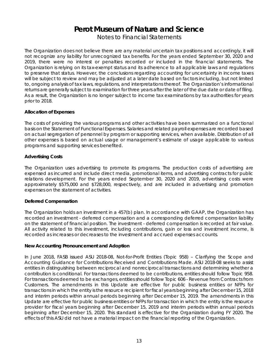Notes to Financial Statements

The Organization does not believe there are any material uncertain tax positions and accordingly, it will not recognize any liability for unrecognized tax benefits. For the years ended September 30, 2020 and 2019, there were no interest or penalties recorded or included in the financial statements. The Organization is relying on its tax-exempt status and its adherence to all applicable laws and regulations to preserve that status. However, the conclusions regarding accounting for uncertainty in income taxes will be subject to review and may be adjusted at a later date based on factors including, but not limited to, ongoing analysis of tax laws, regulations, and interpretations thereof. The Organization's informational returns are generally subject to examination for three years after the later of the due date or date of filing. As a result, the Organization is no longer subject to income tax examinations by tax authorities for years prior to 2018.

### **Allocation of Expenses**

The costs of providing the various programs and other activities have been summarized on a functional basis on the Statement of Functional Expenses. Salaries and related payroll expenses are recorded based on actual segregation of personnel by program or supporting services, when available. Distribution of all other expenses is based on actual usage or management's estimate of usage applicable to various programs and supporting services benefited.

### **Advertising Costs**

The Organization uses advertising to promote its programs. The production costs of advertising are expensed as incurred and include direct media, promotional items, and advertising contracts for public relations development. For the years ended September 30, 2020 and 2019, advertising costs were approximately \$575,000 and \$728,000, respectively, and are included in advertising and promotion expenses on the statement of activities.

### **Deferred Compensation**

The Organization holds an investment in a 457(b) plan. In accordance with GAAP, the Organization has recorded an investment - deferred compensation and a corresponding deferred compensation liability on the statement of financial position. The investment - deferred compensation is recorded at fair value. All activity related to this investment, including contributions, gain or loss and investment income, is recorded as increases or decreases to the investment and accrued expenses accounts.

### **New Accounting Pronouncement and Adoption**

In June 2018, FASB issued ASU 2018-08, *Not-for-Profit Entities* (Topic 958) – *Clarifying the Scope and Accounting Guidance for Contributions Received and Contributions Made*. ASU 2018-08 seeks to assist entities in distinguishing between reciprocal and nonreciprocal transactions and determining whether a contribution is conditional. For transactions deemed to be contributions, entities should follow Topic 958. For transactions deemed to be exchanges, entities should follow Topic 606 - *Revenue from Contracts from Customers*. The amendments in this Update are effective for public business entities or NFPs for transactions in which the entity is the resource recipient for fiscal years beginning after December 15, 2018 and interim periods within annual periods beginning after December 15, 2019. The amendments in this Update are effective for public business entities or NFPs for transaction in which the entity is the resource provider for fiscal years beginning after December 15, 2019 and interim periods within annual periods beginning after December 15, 2020. This standard is effective for the Organization during FY 2020. The effects of this ASU did not have a material impact on the financial reporting of the Organization.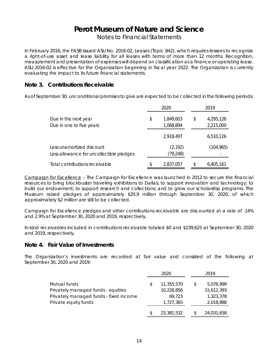Notes to Financial Statements

In February 2016, the FASB issued ASU No. 2016-02, *Leases* (Topic 842), which requires lessees to recognize a right-of-use asset and lease liability for all leases with terms of more than 12 months. Recognition, measurement and presentation of expenses will depend on classification as a finance or operating lease. ASU 2016-02 is effective for the Organization beginning in fiscal year 2022. The Organization is currently evaluating the impact to its future financial statements.

## **Note 3. Contributions Receivable**

As of September 30, unconditional promises to give are expected to be collected in the following periods:

|                                                                       |    | 2020                   |    | 2019                   |  |  |
|-----------------------------------------------------------------------|----|------------------------|----|------------------------|--|--|
| Due in the next year<br>Due in one to five years                      | \$ | 1,849,603<br>1,068,894 | \$ | 4,295,126<br>2,215,000 |  |  |
|                                                                       |    | 2,918,497              |    | 6,510,126              |  |  |
| Less unamortized discount<br>Less allowance for uncollectible pledges |    | (2, 192)<br>(79, 248)  |    | (104, 965)             |  |  |
| Total contributions receivable                                        | \$ | 2,837,057              | S  | 6,405,161              |  |  |

*Campaign for Excellence* – The Campaign for Excellence was launched in 2012 to secure the financial resources to bring blockbuster traveling exhibitions to Dallas; to support innovation and technology; to build our endowment; to support research and collections; and to grow our scholarship programs. The Museum raised pledges of approximately \$20.9 million through September 30, 2020, of which approximately \$2 million are still to be collected.

Campaign for Excellence pledges and other contributions receivable are discounted at a rate of .14% and 2.9% at September 30, 2020 and 2019, respectively.

In-kind receivables included in contributions receivable totaled \$0 and \$239,625 at September 30, 2020 and 2019, respectively.

### **Note 4. Fair Value of Investments**

The Organization's investments are recorded at fair value and consisted of the following at September 30, 2020 and 2019:

|                                                                                              | 2020                                     |    | 2019                                 |
|----------------------------------------------------------------------------------------------|------------------------------------------|----|--------------------------------------|
| Mutual funds<br>Privately managed funds - equities<br>Privately managed funds - fixed income | \$<br>11,355,570<br>10,228,856<br>69.723 | \$ | 5,076,999<br>15,612,393<br>1,323,378 |
| Private equity funds                                                                         | 1,727,383                                |    | 2,018,888                            |
|                                                                                              | \$<br>23,381,532                         | S. | 24,031,658                           |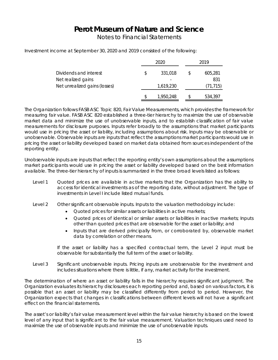Notes to Financial Statements

Investment income at September 30, 2020 and 2019 consisted of the following:

|                               |    | 2020      | 2019 |           |  |
|-------------------------------|----|-----------|------|-----------|--|
| Dividends and interest        | \$ | 331,018   | S    | 605,281   |  |
| Net realized gains            |    |           |      | 831       |  |
| Net unrealized gains (losses) |    | 1,619,230 |      | (71, 715) |  |
|                               | S  | 1,950,248 |      | 534,397   |  |

The Organization follows FASB ASC Topic 820, Fair Value Measurements, which provides the framework for measuring fair value. FASB ASC 820 established a three-tier hierarchy to maximize the use of observable market data and minimize the use of unobservable inputs, and to establish classification of fair value measurements for disclosure purposes. Inputs refer broadly to the assumptions that market participants would use in pricing the asset or liability, including assumptions about risk. Inputs may be observable or unobservable. Observable inputs are inputs that reflect the assumptions market participants would use in pricing the asset or liability developed based on market data obtained from sources independent of the reporting entity.

Unobservable inputs are inputs that reflect the reporting entity's own assumptions about the assumptions market participants would use in pricing the asset or liability developed based on the best information available. The three-tier hierarchy of inputs is summarized in the three broad levels listed as follows:

- Level 1 Quoted prices are available in active markets that the Organization has the ability to access for identical investments as of the reporting date, without adjustment. The type of investments in Level I include listed mutual funds.
- Level 2 Other significant observable inputs. Inputs to the valuation methodology include:
	- Quoted prices for similar assets or liabilities in active markets;
	- Quoted prices of identical or similar assets or liabilities in inactive markets; Inputs other than quoted prices that are observable for the asset or liability; and
	- Inputs that are derived principally from, or corroborated by, observable market data by correlation or other means.

If the asset or liability has a specified contractual term, the Level 2 input must be observable for substantially the full term of the asset or liability.

Level 3 Significant unobservable inputs. Pricing inputs are unobservable for the investment and includes situations where there is little, if any, market activity for the investment.

The determination of where an asset or liability falls in the hierarchy requires significant judgment. The Organization evaluates its hierarchy disclosures each reporting period and, based on various factors, it is possible that an asset or liability may be classified differently from period to period. However, the Organization expects that changes in classifications between different levels will not have a significant effect on the financial statements.

The asset's or liability's fair value measurement level within the fair value hierarchy is based on the lowest level of any input that is significant to the fair value measurement. Valuation techniques used need to maximize the use of observable inputs and minimize the use of unobservable inputs.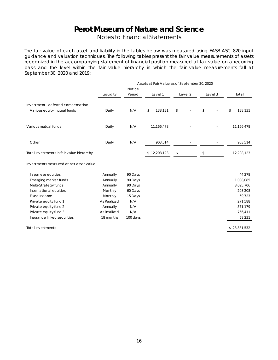Notes to Financial Statements

The fair value of each asset and liability in the tables below was measured using FASB ASC 820 input guidance and valuation techniques. The following tables present the fair value measurements of assets recognized in the accompanying statement of financial position measured at fair value on a recurring basis and the level within the fair value hierarchy in which the fair value measurements fall at September 30, 2020 and 2019:

|                                                                   | Assets at Fair Value as of September 30, 2020 |          |               |         |         |               |  |  |  |  |
|-------------------------------------------------------------------|-----------------------------------------------|----------|---------------|---------|---------|---------------|--|--|--|--|
|                                                                   |                                               | Notice   |               |         |         |               |  |  |  |  |
|                                                                   | Liquidity                                     | Period   | Level 1       | Level 2 | Level 3 | Total         |  |  |  |  |
| Investment - deferred compensation<br>Various equity mutual funds | Daily                                         | N/A      | 138,131<br>\$ | \$      | \$      | \$<br>138,131 |  |  |  |  |
| Various mutual funds                                              | Daily                                         | N/A      | 11,166,478    |         |         | 11,166,478    |  |  |  |  |
| Other                                                             | Daily                                         | N/A      | 903,514       |         |         | 903,514       |  |  |  |  |
| Total investments in fair value hierarchy                         |                                               |          | \$12,208,123  | \$      | \$      | 12,208,123    |  |  |  |  |
| Investments measured at net asset value                           |                                               |          |               |         |         |               |  |  |  |  |
| Japanese equities                                                 | Annually                                      | 90 Days  |               |         |         | 44,278        |  |  |  |  |
| Emerging market funds                                             | Annually                                      | 90 Days  |               |         |         | 1,088,085     |  |  |  |  |
| Multi-Strategy funds                                              | Annually                                      | 90 Days  |               |         |         | 8,095,706     |  |  |  |  |
| International equities                                            | Monthly                                       | 60 Days  |               |         |         | 208,208       |  |  |  |  |
| Fixed Income                                                      | Monthly                                       | 15 Days  |               |         |         | 69,723        |  |  |  |  |
| Private equity fund 1                                             | As Realized                                   | N/A      |               |         |         | 271,588       |  |  |  |  |
| Private equity fund 2                                             | Annually                                      | N/A      |               |         |         | 571,179       |  |  |  |  |
| Private equity fund 3                                             | As Realized                                   | N/A      |               |         |         | 766,411       |  |  |  |  |
| Insurance linked securities                                       | 18 months                                     | 100 days |               |         |         | 58,231        |  |  |  |  |
| Total Investments                                                 |                                               |          |               |         |         | \$23,381,532  |  |  |  |  |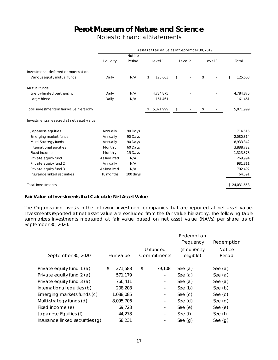Notes to Financial Statements

|                                           | Assets at Fair Value as of September 30, 2019 |               |    |           |    |         |         |               |
|-------------------------------------------|-----------------------------------------------|---------------|----|-----------|----|---------|---------|---------------|
|                                           |                                               | <b>Notice</b> |    |           |    |         |         |               |
|                                           | Liquidity                                     | Period        |    | Level 1   |    | Level 2 | Level 3 | Total         |
| Investment - deferred compensation        |                                               |               |    |           |    |         |         |               |
| Various equity mutual funds               | Daily                                         | N/A           | \$ | 125,663   | \$ |         | \$      | 125,663<br>\$ |
| Mutual funds                              |                                               |               |    |           |    |         |         |               |
| Energy limited partnership                | Daily                                         | N/A           |    | 4,784,875 |    |         |         | 4,784,875     |
| Large blend                               | Daily                                         | N/A           |    | 161,461   |    |         |         | 161,461       |
| Total investments in fair value hierarchy |                                               |               | \$ | 5,071,999 | \$ |         | \$      | 5,071,999     |
| Investments measured at net asset value   |                                               |               |    |           |    |         |         |               |
| Japanese equities                         | Annually                                      | 90 Days       |    |           |    |         |         | 714,515       |
| Emerging market funds                     | Annually                                      | 90 Days       |    |           |    |         |         | 2,080,314     |
| Multi-Strategy funds                      | Annually                                      | 90 Days       |    |           |    |         |         | 8,933,842     |
| International equities                    | Monthly                                       | 60 Days       |    |           |    |         |         | 3,888,722     |
| Fixed Income                              | Monthly                                       | 15 Days       |    |           |    |         |         | 1,323,378     |
| Private equity fund 1                     | As Realized                                   | N/A           |    |           |    |         |         | 269,994       |
| Private equity fund 2                     | Annually                                      | N/A           |    |           |    |         |         | 981,811       |
| Private equity fund 3                     | As Realized                                   | N/A           |    |           |    |         |         | 702,492       |
| Insurance linked securities               | 18 months                                     | 100 days      |    |           |    |         |         | 64,591        |
| <b>Total Investments</b>                  |                                               |               |    |           |    |         |         | \$24,031,658  |
|                                           |                                               |               |    |           |    |         |         |               |

#### **Fair Value of Investments that Calculate Net Asset Value**

The Organization invests in the following investment companies that are reported at net asset value. Investments reported at net asset value are excluded from the fair value hierarchy. The following table summarizes investments measured at fair value based on net asset value (NAVs) per share as of September 30, 2020:

|                                 |               |                          | Redemption<br>Frequency    | Redemption              |
|---------------------------------|---------------|--------------------------|----------------------------|-------------------------|
| September 30, 2020              | Fair Value    | Unfunded<br>Commitments  | (if currently<br>eligible) | <b>Notice</b><br>Period |
|                                 |               |                          |                            |                         |
| Private equity fund 1 (a)       | \$<br>271,588 | \$<br>79,108             | See $(a)$                  | See $(a)$               |
| Private equity fund 2 (a)       | 571,179       |                          | See $(a)$                  | See $(a)$               |
| Private equity fund 3 (a)       | 766,411       |                          | See $(a)$                  | See $(a)$               |
| International equities (b)      | 208,208       | $\overline{\phantom{a}}$ | See $(b)$                  | See $(b)$               |
| Emerging markets funds (c)      | 1,088,085     |                          | See $(c)$                  | See $(c)$               |
| Multi-strategy funds (d)        | 8,095,706     |                          | See $(d)$                  | See $(d)$               |
| Fixed income (e)                | 69,723        | -                        | See $(e)$                  | See $(e)$               |
| Japanese Equities (f)           | 44,278        |                          | See (f)                    | See (f)                 |
| Insurance linked securities (q) | 58,231        |                          | See $(q)$                  | See $(g)$               |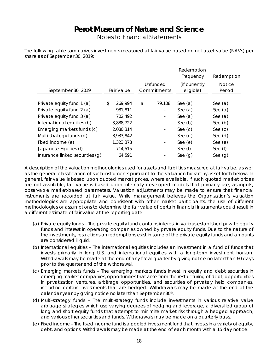Notes to Financial Statements

The following table summarizes investments measured at fair value based on net asset value (NAVs) per share as of September 30, 2019:

|                                 |               |                          | Redemption<br>Frequency    | Redemption              |
|---------------------------------|---------------|--------------------------|----------------------------|-------------------------|
| September 30, 2019              | Fair Value    | Unfunded<br>Commitments  | (if currently<br>eligible) | <b>Notice</b><br>Period |
|                                 |               |                          |                            |                         |
| Private equity fund 1 (a)       | \$<br>269,994 | \$<br>79,108             | See $(a)$                  | See $(a)$               |
| Private equity fund 2 (a)       | 981,811       |                          | See $(a)$                  | See $(a)$               |
| Private equity fund 3 (a)       | 702,492       |                          | See $(a)$                  | See $(a)$               |
| International equities (b)      | 3,888,722     | $\overline{\phantom{a}}$ | See $(b)$                  | See $(b)$               |
| Emerging markets funds (c)      | 2,080,314     |                          | See $(c)$                  | See $(c)$               |
| Multi-strategy funds (d)        | 8,933,842     |                          | See $(d)$                  | See $(d)$               |
| Fixed income (e)                | 1,323,378     |                          | See $(e)$                  | See $(e)$               |
| Japanese Equities (f)           | 714,515       |                          | See (f)                    | See $(f)$               |
| Insurance linked securities (g) | 64,591        |                          | See $(g)$                  | See $(g)$               |

A description of the valuation methodologies used for assets and liabilities measured at fair value, as well as the general classification of such instruments pursuant to the valuation hierarchy, is set forth below. In general, fair value is based upon quoted market prices, where available. If such quoted market prices are not available, fair value is based upon internally developed models that primarily use, as inputs, observable market-based parameters. Valuation adjustments may be made to ensure that financial instruments are recorded at fair value. While management believes the Organization's valuation methodologies are appropriate and consistent with other market participants, the use of different methodologies or assumptions to determine the fair value of certain financial instruments could result in a different estimate of fair value at the reporting date.

- (a) Private equity funds The private equity fund contains interest in various established private equity funds and interest in operating companies owned by private equity funds. Due to the nature of the investments, restrictions on redemptions exist in some of the private equity funds and amounts are considered illiquid.
- (b) International equities The international equities includes an investment in a fund of funds that invests primarily in long U.S. and international equities with a long-term investment horizon. Withdrawals may be made at the end of any fiscal quarter by giving notice no later than 60 days prior to the quarter end of the withdrawal.
- (c) Emerging markets funds The emerging markets funds invest in equity and debt securities in emerging market companies, opportunities that arise from the restructuring of debt, opportunities in privatization ventures, arbitrage opportunities, and securities of privately held companies, including certain investments that are hedged. Withdrawals may be made at the end of the calendar year by giving notice no later than September 30<sup>th</sup>.
- (d) Multi-strategy funds The multi-strategy funds include investments in various relative value arbitrage strategies which use varying degrees of hedging and leverage, a diversified group of long and short equity funds that attempt to minimize market risk through a hedged approach, and various other securities and funds. Withdrawals may be made on a quarterly basis.
- (e) Fixed income The fixed income fund is a pooled investment fund that invests in a variety of equity, debt, and options. Withdrawals may be made at the end of each month with a 15 day notice.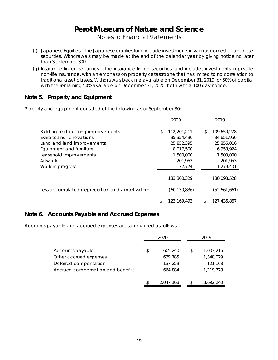Notes to Financial Statements

- (f) Japanese Equities The Japanese equities fund include investments in various domestic Japanese securities. Withdrawals may be made at the end of the calendar year by giving notice no later than September 30th.
- (g) Insurance linked securities The insurance linked securities fund includes investments in private non-life insurance, with an emphasis on property catastrophe that has limited to no correlation to traditional asset classes. Withdrawals became available on December 31, 2019 for 50% of capital with the remaining 50% available on December 31, 2020, both with a 100 day notice.

### **Note 5. Property and Equipment**

Property and equipment consisted of the following as of September 30:

|                                                                                                                                                                                  | 2020 |                                                                                           |    | 2019                                                                                      |  |
|----------------------------------------------------------------------------------------------------------------------------------------------------------------------------------|------|-------------------------------------------------------------------------------------------|----|-------------------------------------------------------------------------------------------|--|
| Building and building improvements<br>Exhibits and renovations<br>Land and land improvements<br>Equipment and furniture<br>Leasehold improvements<br>Artwork<br>Work in progress |      | 112,201,211<br>35, 354, 496<br>25,852,395<br>8,017,500<br>1,500,000<br>201,953<br>172,774 | \$ | 109,650,278<br>34,651,956<br>25,856,016<br>6.958.924<br>1,500,000<br>201,953<br>1,279,401 |  |
| Less accumulated depreciation and amortization                                                                                                                                   |      | 183,300,329<br>(60,130,836)                                                               |    | 180,098,528<br>(52,661,661)                                                               |  |
|                                                                                                                                                                                  | \$   | 123, 169, 493                                                                             | S  | 127,436,867                                                                               |  |

### **Note 6. Accounts Payable and Accrued Expenses**

Accounts payable and accrued expenses are summarized as follows:

|                                   | 2020          |    | 2019      |
|-----------------------------------|---------------|----|-----------|
|                                   |               |    |           |
| Accounts payable                  | \$<br>605,240 | \$ | 1,003,215 |
| Other accrued expenses            | 639,785       |    | 1,348,079 |
| Deferred compensation             | 137,259       |    | 121,168   |
| Accrued compensation and benefits | 664,884       |    | 1,219,778 |
|                                   |               |    |           |
|                                   | 2.047.168     | \$ | 3,692,240 |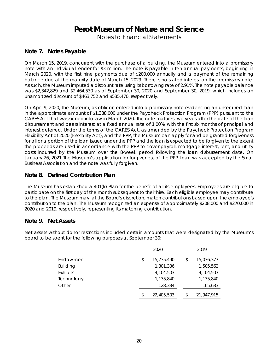Notes to Financial Statements

## **Note 7. Notes Payable**

On March 15, 2019, concurrent with the purchase of a building, the Museum entered into a promissory note with an individual lender for \$3 million. The note is payable in ten annual payments, beginning in March 2020, with the first nine payments due of \$200,000 annually and a payment of the remaining balance due at the maturity date of March 15, 2029. There is no stated interest on the promissory note. As such, the Museum imputed a discount rate using its borrowing rate of 2.91%. The note payable balance was \$2,342,829 and \$2,464,530 as of September 30, 2020 and September 30, 2019, which includes an unamortized discount of \$463,752 and \$535,470, respectively.

On April 9, 2020, the Museum, as obligor, entered into a promissory note evidencing an unsecured loan in the approximate amount of \$1,388,000 under the Paycheck Protection Program (PPP) pursuant to the CARES Act that was signed into law in March 2020. The note matures two years after the date of the loan disbursement and bears interest at a fixed annual rate of 1.00%, with the first six months of principal and interest deferred. Under the terms of the CARES Act, as amended by the Paycheck Protection Program Flexibility Act of 2020 (Flexibility Act), and the PPP, the Museum can apply for and be granted forgiveness for all or a portion of the loan issued under the PPP and the loan is expected to be forgiven to the extent the proceeds are used in accordance with the PPP to cover payroll, mortgage interest, rent, and utility costs incurred by the Museum over the 8-week period following the loan disbursement date. On January 26, 2021 The Museum's application for forgiveness of the PPP Loan was accepted by the Small Business Association and the note was fully forgiven.

## **Note 8. Defined Contribution Plan**

The Museum has established a 401(k) Plan for the benefit of all its employees. Employees are eligible to participate on the first day of the month subsequent to their hire. Each eligible employee may contribute to the plan. The Museum may, at the Board's discretion, match contributions based upon the employee's contribution to the plan. The Museum recognized an expense of approximately \$208,000 and \$270,000 in 2020 and 2019, respectively, representing its matching contribution.

### **Note 9. Net Assets**

Net assets without donor restrictions included certain amounts that were designated by the Museum's board to be spent for the following purposes at September 30:

|                 | 2020 |            |  | 2019 |            |  |
|-----------------|------|------------|--|------|------------|--|
| Endowment       | \$   | 15,735,490 |  | \$   | 15,036,377 |  |
| <b>Building</b> |      | 1,301,336  |  |      | 1,505,562  |  |
| Exhibits        |      | 4,104,503  |  |      | 4,104,503  |  |
| Technology      |      | 1,135,840  |  |      | 1,135,840  |  |
| Other           |      | 128,334    |  |      | 165,633    |  |
|                 | \$   | 22,405,503 |  | \$   | 21,947,915 |  |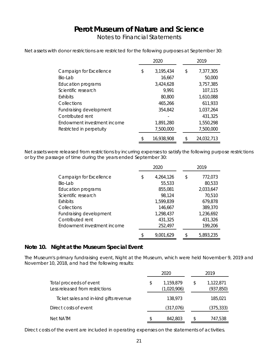Notes to Financial Statements

|                             | 2020 |            | 2019            |
|-----------------------------|------|------------|-----------------|
| Campaign for Excellence     | \$   | 3,195,434  | \$<br>7,377,305 |
| Bio-Lab                     |      | 16,667     | 50,000          |
| <b>Education programs</b>   |      | 3,424,628  | 3,757,385       |
| Scientific research         |      | 9.991      | 107,115         |
| <b>Exhibits</b>             |      | 80,800     | 1,610,088       |
| Collections                 |      | 465,266    | 611,933         |
| Fundraising development     |      | 354,842    | 1,037,264       |
| Contributed rent            |      |            | 431,325         |
| Endowment investment income |      | 1,891,280  | 1,550,298       |
| Restricted in perpetuity    |      | 7,500,000  | 7,500,000       |
|                             | \$   | 16,938,908 | 24,032,713      |

Net assets with donor restrictions are restricted for the following purposes at September 30:

Net assets were released from restrictions by incurring expenses to satisfy the following purpose restrictions or by the passage of time during the years ended September 30:

|                                                                                           | 2020 |                                            | 2019 |                                            |
|-------------------------------------------------------------------------------------------|------|--------------------------------------------|------|--------------------------------------------|
| Campaign for Excellence<br>Bio-Lab<br><b>Education programs</b>                           | \$   | 4,264,126<br>55,533<br>855,081             | \$   | 772,073<br>80,533<br>2,033,647             |
| Scientific research<br><b>Exhibits</b>                                                    |      | 98,124<br>1,599,839                        |      | 70,510<br>679,878                          |
| Collections<br>Fundraising development<br>Contributed rent<br>Endowment investment income |      | 146,667<br>1,298,437<br>431,325<br>252,497 |      | 389,370<br>1,236,692<br>431,326<br>199,206 |
|                                                                                           | \$   | 9,001,629                                  | \$   | 5,893,235                                  |

### **Note 10. Night at the Museum Special Event**

The Museum's primary fundraising event, Night at the Museum, which were held November 9, 2019 and November 10, 2018, and had the following results:

| Total proceeds of event<br>Less released from restrictions |    | 2020                     |    | 2019                    |  |  |
|------------------------------------------------------------|----|--------------------------|----|-------------------------|--|--|
|                                                            |    | 1,159,879<br>(1,020,906) | S  | 1,122,871<br>(937, 850) |  |  |
| Ticket sales and in-kind gifts revenue                     |    | 138,973                  |    | 185,021                 |  |  |
| Direct costs of event                                      |    | (317, 076)               |    | (375, 333)              |  |  |
| Net NATM                                                   | \$ | 842,803                  | S. | 747,538                 |  |  |

Direct costs of the event are included in operating expenses on the statements of activities.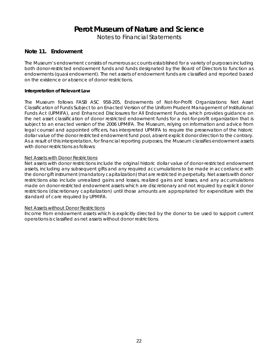Notes to Financial Statements

### **Note 11. Endowment**

The Museum's endowment consists of numerous accounts established for a variety of purposes including both donor-restricted endowment funds and funds designated by the Board of Directors to function as endowments (quasi endowment). The net assets of endowment funds are classified and reported based on the existence or absence of donor restrictions.

### **Interpretation of Relevant Law**

The Museum follows FASB ASC 958-205, Endowments of Not-for-Profit Organizations: Net Asset Classification of Funds Subject to an Enacted Version of the Uniform Prudent Management of Institutional Funds Act (UPMIFA), and Enhanced Disclosures for All Endowment Funds, which provides guidance on the net asset classification of donor restricted endowment funds for a not-for-profit organization that is subject to an enacted version of the 2006 UPMIFA. The Museum, relying on information and advice from legal counsel and appointed officers, has interpreted UPMIFA to require the preservation of the historic dollar value of the donor restricted endowment fund pool, absent explicit donor direction to the contrary. As a result of this interpretation, for financial reporting purposes, the Museum classifies endowment assets with donor restrictions as follows:

### *Net Assets with Donor Restrictions*

Net assets with donor restrictions include the original historic dollar value of donor-restricted endowment assets, including any subsequent gifts and any required accumulations to be made in accordance with the donor gift instrument (mandatory capitalization) that are restricted in perpetuity. Net assets with donor restrictions also include unrealized gains and losses, realized gains and losses, and any accumulations made on donor-restricted endowment assets which are discretionary and not required by explicit donor restrictions (discretionary capitalization) until those amounts are appropriated for expenditure with the standard of care required by UPMIFA.

### *Net Assets without Donor Restrictions*

Income from endowment assets which is explicitly directed by the donor to be used to support current operations is classified as net assets without donor restrictions.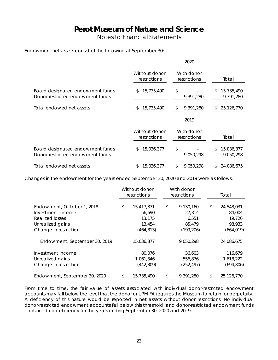Notes to Financial Statements

### Endowment net assets consist of the following at September 30:

|                                                                      | 2020                          |                            |                               |  |  |
|----------------------------------------------------------------------|-------------------------------|----------------------------|-------------------------------|--|--|
|                                                                      | Without donor<br>restrictions | With donor<br>restrictions | Total                         |  |  |
| Board designated endowment funds<br>Donor restricted endowment funds | 15,735,490<br>\$              | \$<br>9,391,280            | 15,735,490<br>\$<br>9,391,280 |  |  |
| Total endowed net assets                                             | 15,735,490                    | 9,391,280<br>\$            | 25, 126, 770<br>æ.            |  |  |
|                                                                      |                               | 2019                       |                               |  |  |
|                                                                      | Without donor<br>restrictions | With donor<br>restrictions | Total                         |  |  |
| Board designated endowment funds<br>Donor restricted endowment funds | 15,036,377<br>S.              | \$<br>9,050,298            | 15,036,377<br>\$<br>9,050,298 |  |  |
| Total endowed net assets                                             | 15,036,377                    | 9.050.298<br>\$            | 24,086,675<br>\$.             |  |  |

Changes in the endowment for the years ended September 30, 2020 and 2019 were as follows:

|                               | Without donor<br>restrictions | With donor<br>restrictions | Total            |
|-------------------------------|-------------------------------|----------------------------|------------------|
| Endowment, October 1, 2018    | \$<br>15,417,871              | \$<br>9,130,160            | \$<br>24,548,031 |
| Investment income             | 56,690                        | 27,314                     | 84,004           |
| Realized losses               | 13,175                        | 6,551                      | 19,726           |
| Unrealized gains              | 13,454                        | 85,479                     | 98,933           |
| Change in restriction         | (464, 813)                    | (199, 206)                 | (664, 019)       |
| Endowment, September 30, 2019 | 15,036,377                    | 9,050,298                  | 24,086,675       |
| Investment income             | 80,076                        | 36,603                     | 116,679          |
| Unrealized gains              | 1,061,346                     | 556,876                    | 1,618,222        |
| Change in restriction         | (442, 309)                    | (252, 497)                 | (694, 806)       |
| Endowment, September 30, 2020 | \$<br>15,735,490              | \$<br>9,391,280            | \$<br>25,126,770 |

From time to time, the fair value of assets associated with individual donor-restricted endowment accounts may fall below the level that the donor or UPMIFA requires the Museum to retain for perpetuity. A deficiency of this nature would be reported in net assets without donor restrictions. No individual donor-restricted endowment accounts fell below this threshold, and donor-restricted endowment funds contained no deficiency for the years ending September 30, 2020 and 2019.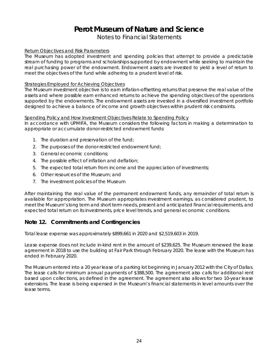## Notes to Financial Statements

### *Return Objectives and Risk Parameters*

The Museum has adopted investment and spending policies that attempt to provide a predictable stream of funding to programs and scholarships supported by endowment while seeking to maintain the real purchasing power of the endowment. Endowment assets are invested to yield a level of return to meet the objectives of the fund while adhering to a prudent level of risk.

### *Strategies Employed for Achieving Objectives*

The Museum investment objective is to earn inflation-offsetting returns that preserve the real value of the assets and where possible earn enhanced returns to achieve the spending objectives of the operations supported by the endowments. The endowment assets are invested in a diversified investment portfolio designed to achieve a balance of income and growth objectives within prudent risk constraints.

### *Spending Policy and How Investment Objectives Relate to Spending Policy*

In accordance with UPMIFA, the Museum considers the following factors in making a determination to appropriate or accumulate donor-restricted endowment funds:

- 1. The duration and preservation of the fund;
- 2. The purposes of the donor-restricted endowment fund;
- 3. General economic conditions;
- 4. The possible effect of inflation and deflation;
- 5. The expected total return from income and the appreciation of investments;
- 6. Other resources of the Museum; and
- 7. The investment policies of the Museum

After maintaining the real value of the permanent endowment funds, any remainder of total return is available for appropriation. The Museum appropriates investment earnings, as considered prudent, to meet the Museum's long term and short term needs, present and anticipated financial requirements, and expected total return on its investments, price level trends, and general economic conditions.

### **Note 12. Commitments and Contingencies**

Total lease expense was approximately \$899,661 in 2020 and \$2,519,603 in 2019.

Lease expense does not include in-kind rent in the amount of \$239,625. The Museum renewed the lease agreement in 2018 to use the building at Fair Park through February 2020. The lease with the Museum has ended in February 2020.

The Museum entered into a 20 year lease of a parking lot beginning in January 2012 with the City of Dallas. The lease calls for minimum annual payments of \$388,500. The agreement also calls for additional rent based upon collections, as defined in the agreement. The agreement also allows for two 10-year lease extensions. The lease is being expensed in the Museum's financial statements in level amounts over the lease terms.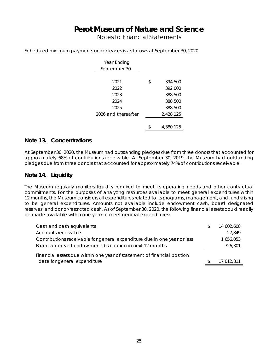Notes to Financial Statements

Scheduled minimum payments under leases is as follows at September 30, 2020:

| Year Ending         |               |
|---------------------|---------------|
| September 30,       |               |
|                     |               |
| 2021                | \$<br>394,500 |
| 2022                | 392,000       |
| 2023                | 388,500       |
| 2024                | 388,500       |
| 2025                | 388,500       |
| 2026 and thereafter | 2,428,125     |
|                     |               |
|                     | 4,380,125     |

### **Note 13. Concentrations**

At September 30, 2020, the Museum had outstanding pledges due from three donors that accounted for approximately 68% of contributions receivable. At September 30, 2019, the Museum had outstanding pledges due from three donors that accounted for approximately 74% of contributions receivable.

### **Note 14. Liquidity**

The Museum regularly monitors liquidity required to meet its operating needs and other contractual commitments. For the purposes of analyzing resources available to meet general expenditures within 12 months, the Museum considers all expenditures related to its programs, management, and fundraising to be general expenditures. Amounts not available include endowment cash, board designated reserves, and donor-restricted cash. As of September 30, 2020, the following financial assets could readily be made available within one year to meet general expenditures:

| Cash and cash equivalents                                                                               | S  | 14,602,608 |
|---------------------------------------------------------------------------------------------------------|----|------------|
| Accounts receivable                                                                                     |    | 27,849     |
| Contributions receivable for general expenditure due in one year or less                                |    | 1,656,053  |
| Board-approved endowment distribution in next 12 months                                                 |    | 726,301    |
| Financial assets due within one year of statement of financial position<br>date for general expenditure | £. | 17,012,811 |
|                                                                                                         |    |            |